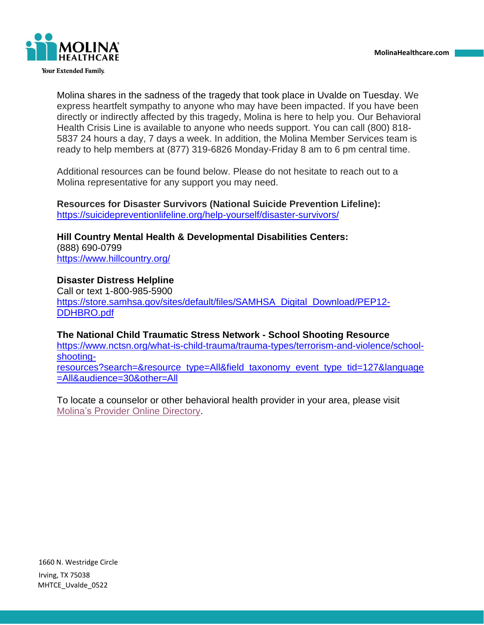

**Your Extended Family.** 

Molina shares in the sadness of the tragedy that took place in Uvalde on Tuesday. We express heartfelt sympathy to anyone who may have been impacted. If you have been directly or indirectly affected by this tragedy, Molina is here to help you. Our Behavioral Health Crisis Line is available to anyone who needs support. You can call (800) 818- 5837 24 hours a day, 7 days a week. In addition, the Molina Member Services team is ready to help members at (877) 319-6826 Monday-Friday 8 am to 6 pm central time.

Additional resources can be found below. Please do not hesitate to reach out to a Molina representative for any support you may need.

**Resources for Disaster Survivors (National Suicide Prevention Lifeline):** <https://suicidepreventionlifeline.org/help-yourself/disaster-survivors/>

**Hill Country Mental Health & Developmental Disabilities Centers:** (888) 690-0799 <https://www.hillcountry.org/>

**Disaster Distress Helpline** Call or text 1-800-985-5900 [https://store.samhsa.gov/sites/default/files/SAMHSA\\_Digital\\_Download/PEP12-](https://store.samhsa.gov/sites/default/files/SAMHSA_Digital_Download/PEP12-DDHBRO.pdf) [DDHBRO.pdf](https://store.samhsa.gov/sites/default/files/SAMHSA_Digital_Download/PEP12-DDHBRO.pdf)

**The National Child Traumatic Stress Network - School Shooting Resource** [https://www.nctsn.org/what-is-child-trauma/trauma-types/terrorism-and-violence/school](https://www.nctsn.org/what-is-child-trauma/trauma-types/terrorism-and-violence/school-shooting-resources?search=&resource_type=All&field_taxonomy_event_type_tid=127&language=All&audience=30&other=All)[shooting](https://www.nctsn.org/what-is-child-trauma/trauma-types/terrorism-and-violence/school-shooting-resources?search=&resource_type=All&field_taxonomy_event_type_tid=127&language=All&audience=30&other=All)[resources?search=&resource\\_type=All&field\\_taxonomy\\_event\\_type\\_tid=127&language](https://www.nctsn.org/what-is-child-trauma/trauma-types/terrorism-and-violence/school-shooting-resources?search=&resource_type=All&field_taxonomy_event_type_tid=127&language=All&audience=30&other=All) [=All&audience=30&other=All](https://www.nctsn.org/what-is-child-trauma/trauma-types/terrorism-and-violence/school-shooting-resources?search=&resource_type=All&field_taxonomy_event_type_tid=127&language=All&audience=30&other=All)

To locate a counselor or other behavioral health provider in your area, please visit [Molina's Provider Online Directory.](https://molina.sapphirethreesixtyfive.com/?ci=tx-molina&network_id=33&geo_location=32.951364,-96.891487&locale=en_us)